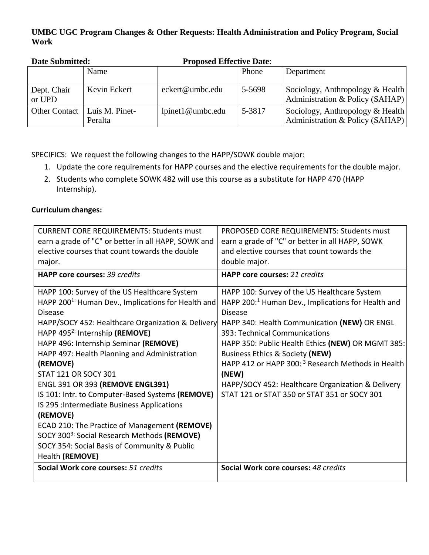## **UMBC UGC Program Changes & Other Requests: Health Administration and Policy Program, Social Work**

| Dan Davimn            |                           | 11 voora Encenve Date.  |        |                                                                     |
|-----------------------|---------------------------|-------------------------|--------|---------------------------------------------------------------------|
|                       | Name                      |                         | Phone  | Department                                                          |
| Dept. Chair<br>or UPD | Kevin Eckert              | eckert@umbc.edu         | 5-5698 | Sociology, Anthropology & Health<br>Administration & Policy (SAHAP) |
| <b>Other Contact</b>  | Luis M. Pinet-<br>Peralta | $l$ pinet $l$ @umbc.edu | 5-3817 | Sociology, Anthropology & Health<br>Administration & Policy (SAHAP) |

**Date Submitted: Proposed Effective Date**:

SPECIFICS: We request the following changes to the HAPP/SOWK double major:

- 1. Update the core requirements for HAPP courses and the elective requirements for the double major.
- 2. Students who complete SOWK 482 will use this course as a substitute for HAPP 470 (HAPP Internship).

## **Curriculum changes:**

| <b>CURRENT CORE REQUIREMENTS: Students must</b>                | PROPOSED CORE REQUIREMENTS: Students must                      |
|----------------------------------------------------------------|----------------------------------------------------------------|
| earn a grade of "C" or better in all HAPP, SOWK and            | earn a grade of "C" or better in all HAPP, SOWK                |
| elective courses that count towards the double                 | and elective courses that count towards the                    |
| major.                                                         | double major.                                                  |
| <b>HAPP core courses: 39 credits</b>                           | <b>HAPP core courses: 21 credits</b>                           |
| HAPP 100: Survey of the US Healthcare System                   | HAPP 100: Survey of the US Healthcare System                   |
| HAPP 200 <sup>1:</sup> Human Dev., Implications for Health and | HAPP 200: <sup>1</sup> Human Dev., Implications for Health and |
| <b>Disease</b>                                                 | <b>Disease</b>                                                 |
| HAPP/SOCY 452: Healthcare Organization & Delivery              | HAPP 340: Health Communication (NEW) OR ENGL                   |
| HAPP 495 <sup>2:</sup> Internship (REMOVE)                     | 393: Technical Communications                                  |
| HAPP 496: Internship Seminar (REMOVE)                          | HAPP 350: Public Health Ethics (NEW) OR MGMT 385:              |
| HAPP 497: Health Planning and Administration                   | Business Ethics & Society (NEW)                                |
| (REMOVE)                                                       | HAPP 412 or HAPP 300: <sup>3</sup> Research Methods in Health  |
| <b>STAT 121 OR SOCY 301</b>                                    | (NEW)                                                          |
| <b>ENGL 391 OR 393 (REMOVE ENGL391)</b>                        | HAPP/SOCY 452: Healthcare Organization & Delivery              |
| IS 101: Intr. to Computer-Based Systems (REMOVE)               | STAT 121 or STAT 350 or STAT 351 or SOCY 301                   |
| IS 295 : Intermediate Business Applications                    |                                                                |
| (REMOVE)                                                       |                                                                |
| ECAD 210: The Practice of Management (REMOVE)                  |                                                                |
| SOCY 300 <sup>3:</sup> Social Research Methods (REMOVE)        |                                                                |
| SOCY 354: Social Basis of Community & Public                   |                                                                |
| Health (REMOVE)                                                |                                                                |
| Social Work core courses: 51 credits                           | Social Work core courses: 48 credits                           |
|                                                                |                                                                |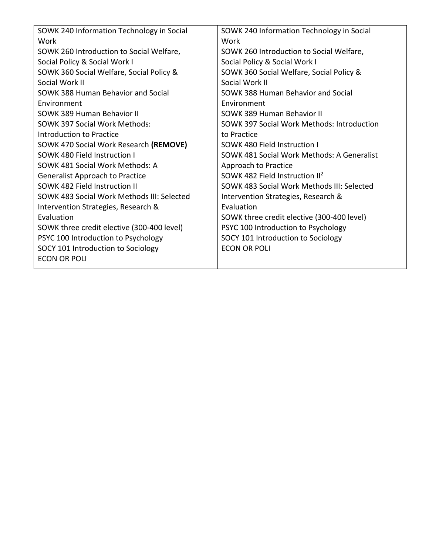| SOWK 240 Information Technology in Social  | SOWK 240 Information Technology in Social  |
|--------------------------------------------|--------------------------------------------|
| Work                                       | Work                                       |
| SOWK 260 Introduction to Social Welfare,   | SOWK 260 Introduction to Social Welfare,   |
| Social Policy & Social Work I              | Social Policy & Social Work I              |
| SOWK 360 Social Welfare, Social Policy &   | SOWK 360 Social Welfare, Social Policy &   |
| Social Work II                             | Social Work II                             |
| SOWK 388 Human Behavior and Social         | SOWK 388 Human Behavior and Social         |
| Environment                                | Environment                                |
| SOWK 389 Human Behavior II                 | SOWK 389 Human Behavior II                 |
| SOWK 397 Social Work Methods:              | SOWK 397 Social Work Methods: Introduction |
| Introduction to Practice                   | to Practice                                |
| SOWK 470 Social Work Research (REMOVE)     | SOWK 480 Field Instruction I               |
| SOWK 480 Field Instruction I               | SOWK 481 Social Work Methods: A Generalist |
| SOWK 481 Social Work Methods: A            | Approach to Practice                       |
| <b>Generalist Approach to Practice</b>     | SOWK 482 Field Instruction II <sup>2</sup> |
| SOWK 482 Field Instruction II              | SOWK 483 Social Work Methods III: Selected |
| SOWK 483 Social Work Methods III: Selected | Intervention Strategies, Research &        |
| Intervention Strategies, Research &        | Evaluation                                 |
| Evaluation                                 | SOWK three credit elective (300-400 level) |
| SOWK three credit elective (300-400 level) | PSYC 100 Introduction to Psychology        |
| PSYC 100 Introduction to Psychology        | SOCY 101 Introduction to Sociology         |
| SOCY 101 Introduction to Sociology         | <b>ECON OR POLI</b>                        |
| <b>ECON OR POLI</b>                        |                                            |
|                                            |                                            |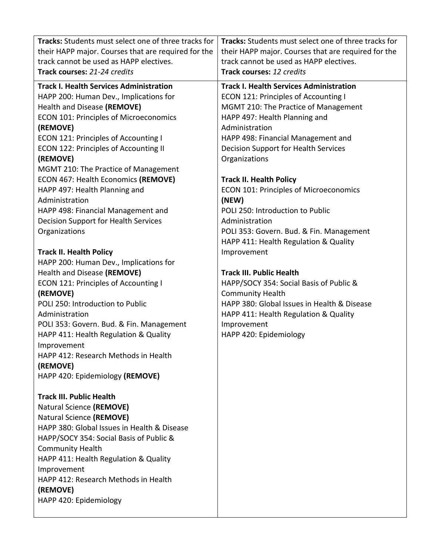|                                | <b>Tracks:</b> Students must select one of three tracks for | <b>Tracks:</b> Students must select one of three tracks for |
|--------------------------------|-------------------------------------------------------------|-------------------------------------------------------------|
|                                | their HAPP major. Courses that are required for the         | their HAPP major. Courses that are required for the         |
|                                | track cannot be used as HAPP electives.                     | track cannot be used as HAPP electives.                     |
|                                | Track courses: 21-24 credits                                | Track courses: 12 credits                                   |
|                                | <b>Track I. Health Services Administration</b>              | <b>Track I. Health Services Administration</b>              |
|                                | HAPP 200: Human Dev., Implications for                      | <b>ECON 121: Principles of Accounting I</b>                 |
|                                | Health and Disease (REMOVE)                                 | MGMT 210: The Practice of Management                        |
|                                | <b>ECON 101: Principles of Microeconomics</b>               | HAPP 497: Health Planning and                               |
| (REMOVE)                       |                                                             | Administration                                              |
|                                | <b>ECON 121: Principles of Accounting I</b>                 | HAPP 498: Financial Management and                          |
|                                | ECON 122: Principles of Accounting II                       | Decision Support for Health Services                        |
| (REMOVE)                       |                                                             | Organizations                                               |
|                                | MGMT 210: The Practice of Management                        |                                                             |
|                                | ECON 467: Health Economics (REMOVE)                         | <b>Track II. Health Policy</b>                              |
|                                | HAPP 497: Health Planning and                               | <b>ECON 101: Principles of Microeconomics</b>               |
| Administration                 |                                                             | (NEW)                                                       |
|                                | HAPP 498: Financial Management and                          | POLI 250: Introduction to Public                            |
|                                | Decision Support for Health Services                        | Administration                                              |
| Organizations                  |                                                             | POLI 353: Govern. Bud. & Fin. Management                    |
|                                |                                                             | HAPP 411: Health Regulation & Quality                       |
| <b>Track II. Health Policy</b> |                                                             | Improvement                                                 |
|                                | HAPP 200: Human Dev., Implications for                      |                                                             |
|                                | Health and Disease (REMOVE)                                 | <b>Track III. Public Health</b>                             |
|                                | ECON 121: Principles of Accounting I                        | HAPP/SOCY 354: Social Basis of Public &                     |
| (REMOVE)                       |                                                             | <b>Community Health</b>                                     |
|                                | POLI 250: Introduction to Public                            | HAPP 380: Global Issues in Health & Disease                 |
| Administration                 |                                                             | HAPP 411: Health Regulation & Quality                       |
|                                | POLI 353: Govern. Bud. & Fin. Management                    | Improvement                                                 |
|                                | HAPP 411: Health Regulation & Quality                       | HAPP 420: Epidemiology                                      |
| Improvement                    |                                                             |                                                             |
|                                | HAPP 412: Research Methods in Health                        |                                                             |
| (REMOVE)                       |                                                             |                                                             |
|                                | HAPP 420: Epidemiology (REMOVE)                             |                                                             |
|                                | <b>Track III. Public Health</b>                             |                                                             |
|                                | Natural Science (REMOVE)                                    |                                                             |
|                                | Natural Science (REMOVE)                                    |                                                             |
|                                | HAPP 380: Global Issues in Health & Disease                 |                                                             |
|                                | HAPP/SOCY 354: Social Basis of Public &                     |                                                             |
| <b>Community Health</b>        |                                                             |                                                             |
|                                | HAPP 411: Health Regulation & Quality                       |                                                             |
| Improvement                    |                                                             |                                                             |
|                                | HAPP 412: Research Methods in Health                        |                                                             |
| (REMOVE)                       |                                                             |                                                             |
|                                | HAPP 420: Epidemiology                                      |                                                             |
|                                |                                                             |                                                             |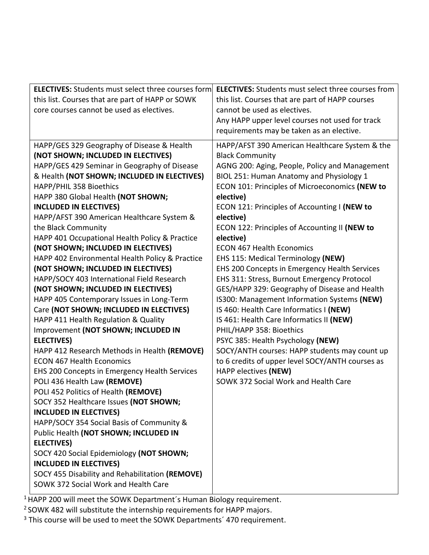| this list. Courses that are part of HAPP or SOWK<br>this list. Courses that are part of HAPP courses<br>core courses cannot be used as electives.<br>cannot be used as electives.<br>Any HAPP upper level courses not used for track<br>requirements may be taken as an elective.<br>HAPP/GES 329 Geography of Disease & Health<br>HAPP/AFST 390 American Healthcare System & the<br>(NOT SHOWN; INCLUDED IN ELECTIVES)<br><b>Black Community</b><br>HAPP/GES 429 Seminar in Geography of Disease<br>AGNG 200: Aging, People, Policy and Management<br>& Health (NOT SHOWN; INCLUDED IN ELECTIVES)<br>BIOL 251: Human Anatomy and Physiology 1<br>HAPP/PHIL 358 Bioethics<br>ECON 101: Principles of Microeconomics (NEW to<br>HAPP 380 Global Health (NOT SHOWN;<br>elective)<br><b>INCLUDED IN ELECTIVES)</b><br>ECON 121: Principles of Accounting I (NEW to<br>HAPP/AFST 390 American Healthcare System &<br>elective)<br>ECON 122: Principles of Accounting II (NEW to<br>the Black Community<br>HAPP 401 Occupational Health Policy & Practice<br>elective)<br>(NOT SHOWN; INCLUDED IN ELECTIVES)<br><b>ECON 467 Health Economics</b><br>HAPP 402 Environmental Health Policy & Practice<br>EHS 115: Medical Terminology (NEW)<br>(NOT SHOWN; INCLUDED IN ELECTIVES)<br>EHS 200 Concepts in Emergency Health Services<br>HAPP/SOCY 403 International Field Research<br>EHS 311: Stress, Burnout Emergency Protocol<br>(NOT SHOWN; INCLUDED IN ELECTIVES)<br>GES/HAPP 329: Geography of Disease and Health<br>HAPP 405 Contemporary Issues in Long-Term<br>IS300: Management Information Systems (NEW)<br>Care (NOT SHOWN; INCLUDED IN ELECTIVES)<br>IS 460: Health Care Informatics I (NEW)<br>HAPP 411 Health Regulation & Quality<br>IS 461: Health Care Informatics II (NEW)<br>Improvement (NOT SHOWN; INCLUDED IN<br>PHIL/HAPP 358: Bioethics<br><b>ELECTIVES)</b><br>PSYC 385: Health Psychology (NEW)<br>SOCY/ANTH courses: HAPP students may count up<br>HAPP 412 Research Methods in Health (REMOVE)<br><b>ECON 467 Health Economics</b><br>to 6 credits of upper level SOCY/ANTH courses as<br>EHS 200 Concepts in Emergency Health Services<br>HAPP electives (NEW) |
|--------------------------------------------------------------------------------------------------------------------------------------------------------------------------------------------------------------------------------------------------------------------------------------------------------------------------------------------------------------------------------------------------------------------------------------------------------------------------------------------------------------------------------------------------------------------------------------------------------------------------------------------------------------------------------------------------------------------------------------------------------------------------------------------------------------------------------------------------------------------------------------------------------------------------------------------------------------------------------------------------------------------------------------------------------------------------------------------------------------------------------------------------------------------------------------------------------------------------------------------------------------------------------------------------------------------------------------------------------------------------------------------------------------------------------------------------------------------------------------------------------------------------------------------------------------------------------------------------------------------------------------------------------------------------------------------------------------------------------------------------------------------------------------------------------------------------------------------------------------------------------------------------------------------------------------------------------------------------------------------------------------------------------------------------------------------------------------------------------------------------------------------------------------------------------------|
|                                                                                                                                                                                                                                                                                                                                                                                                                                                                                                                                                                                                                                                                                                                                                                                                                                                                                                                                                                                                                                                                                                                                                                                                                                                                                                                                                                                                                                                                                                                                                                                                                                                                                                                                                                                                                                                                                                                                                                                                                                                                                                                                                                                      |
|                                                                                                                                                                                                                                                                                                                                                                                                                                                                                                                                                                                                                                                                                                                                                                                                                                                                                                                                                                                                                                                                                                                                                                                                                                                                                                                                                                                                                                                                                                                                                                                                                                                                                                                                                                                                                                                                                                                                                                                                                                                                                                                                                                                      |
|                                                                                                                                                                                                                                                                                                                                                                                                                                                                                                                                                                                                                                                                                                                                                                                                                                                                                                                                                                                                                                                                                                                                                                                                                                                                                                                                                                                                                                                                                                                                                                                                                                                                                                                                                                                                                                                                                                                                                                                                                                                                                                                                                                                      |
|                                                                                                                                                                                                                                                                                                                                                                                                                                                                                                                                                                                                                                                                                                                                                                                                                                                                                                                                                                                                                                                                                                                                                                                                                                                                                                                                                                                                                                                                                                                                                                                                                                                                                                                                                                                                                                                                                                                                                                                                                                                                                                                                                                                      |
|                                                                                                                                                                                                                                                                                                                                                                                                                                                                                                                                                                                                                                                                                                                                                                                                                                                                                                                                                                                                                                                                                                                                                                                                                                                                                                                                                                                                                                                                                                                                                                                                                                                                                                                                                                                                                                                                                                                                                                                                                                                                                                                                                                                      |
|                                                                                                                                                                                                                                                                                                                                                                                                                                                                                                                                                                                                                                                                                                                                                                                                                                                                                                                                                                                                                                                                                                                                                                                                                                                                                                                                                                                                                                                                                                                                                                                                                                                                                                                                                                                                                                                                                                                                                                                                                                                                                                                                                                                      |
|                                                                                                                                                                                                                                                                                                                                                                                                                                                                                                                                                                                                                                                                                                                                                                                                                                                                                                                                                                                                                                                                                                                                                                                                                                                                                                                                                                                                                                                                                                                                                                                                                                                                                                                                                                                                                                                                                                                                                                                                                                                                                                                                                                                      |
|                                                                                                                                                                                                                                                                                                                                                                                                                                                                                                                                                                                                                                                                                                                                                                                                                                                                                                                                                                                                                                                                                                                                                                                                                                                                                                                                                                                                                                                                                                                                                                                                                                                                                                                                                                                                                                                                                                                                                                                                                                                                                                                                                                                      |
|                                                                                                                                                                                                                                                                                                                                                                                                                                                                                                                                                                                                                                                                                                                                                                                                                                                                                                                                                                                                                                                                                                                                                                                                                                                                                                                                                                                                                                                                                                                                                                                                                                                                                                                                                                                                                                                                                                                                                                                                                                                                                                                                                                                      |
|                                                                                                                                                                                                                                                                                                                                                                                                                                                                                                                                                                                                                                                                                                                                                                                                                                                                                                                                                                                                                                                                                                                                                                                                                                                                                                                                                                                                                                                                                                                                                                                                                                                                                                                                                                                                                                                                                                                                                                                                                                                                                                                                                                                      |
|                                                                                                                                                                                                                                                                                                                                                                                                                                                                                                                                                                                                                                                                                                                                                                                                                                                                                                                                                                                                                                                                                                                                                                                                                                                                                                                                                                                                                                                                                                                                                                                                                                                                                                                                                                                                                                                                                                                                                                                                                                                                                                                                                                                      |
|                                                                                                                                                                                                                                                                                                                                                                                                                                                                                                                                                                                                                                                                                                                                                                                                                                                                                                                                                                                                                                                                                                                                                                                                                                                                                                                                                                                                                                                                                                                                                                                                                                                                                                                                                                                                                                                                                                                                                                                                                                                                                                                                                                                      |
|                                                                                                                                                                                                                                                                                                                                                                                                                                                                                                                                                                                                                                                                                                                                                                                                                                                                                                                                                                                                                                                                                                                                                                                                                                                                                                                                                                                                                                                                                                                                                                                                                                                                                                                                                                                                                                                                                                                                                                                                                                                                                                                                                                                      |
|                                                                                                                                                                                                                                                                                                                                                                                                                                                                                                                                                                                                                                                                                                                                                                                                                                                                                                                                                                                                                                                                                                                                                                                                                                                                                                                                                                                                                                                                                                                                                                                                                                                                                                                                                                                                                                                                                                                                                                                                                                                                                                                                                                                      |
|                                                                                                                                                                                                                                                                                                                                                                                                                                                                                                                                                                                                                                                                                                                                                                                                                                                                                                                                                                                                                                                                                                                                                                                                                                                                                                                                                                                                                                                                                                                                                                                                                                                                                                                                                                                                                                                                                                                                                                                                                                                                                                                                                                                      |
|                                                                                                                                                                                                                                                                                                                                                                                                                                                                                                                                                                                                                                                                                                                                                                                                                                                                                                                                                                                                                                                                                                                                                                                                                                                                                                                                                                                                                                                                                                                                                                                                                                                                                                                                                                                                                                                                                                                                                                                                                                                                                                                                                                                      |
|                                                                                                                                                                                                                                                                                                                                                                                                                                                                                                                                                                                                                                                                                                                                                                                                                                                                                                                                                                                                                                                                                                                                                                                                                                                                                                                                                                                                                                                                                                                                                                                                                                                                                                                                                                                                                                                                                                                                                                                                                                                                                                                                                                                      |
|                                                                                                                                                                                                                                                                                                                                                                                                                                                                                                                                                                                                                                                                                                                                                                                                                                                                                                                                                                                                                                                                                                                                                                                                                                                                                                                                                                                                                                                                                                                                                                                                                                                                                                                                                                                                                                                                                                                                                                                                                                                                                                                                                                                      |
|                                                                                                                                                                                                                                                                                                                                                                                                                                                                                                                                                                                                                                                                                                                                                                                                                                                                                                                                                                                                                                                                                                                                                                                                                                                                                                                                                                                                                                                                                                                                                                                                                                                                                                                                                                                                                                                                                                                                                                                                                                                                                                                                                                                      |
|                                                                                                                                                                                                                                                                                                                                                                                                                                                                                                                                                                                                                                                                                                                                                                                                                                                                                                                                                                                                                                                                                                                                                                                                                                                                                                                                                                                                                                                                                                                                                                                                                                                                                                                                                                                                                                                                                                                                                                                                                                                                                                                                                                                      |
|                                                                                                                                                                                                                                                                                                                                                                                                                                                                                                                                                                                                                                                                                                                                                                                                                                                                                                                                                                                                                                                                                                                                                                                                                                                                                                                                                                                                                                                                                                                                                                                                                                                                                                                                                                                                                                                                                                                                                                                                                                                                                                                                                                                      |
|                                                                                                                                                                                                                                                                                                                                                                                                                                                                                                                                                                                                                                                                                                                                                                                                                                                                                                                                                                                                                                                                                                                                                                                                                                                                                                                                                                                                                                                                                                                                                                                                                                                                                                                                                                                                                                                                                                                                                                                                                                                                                                                                                                                      |
|                                                                                                                                                                                                                                                                                                                                                                                                                                                                                                                                                                                                                                                                                                                                                                                                                                                                                                                                                                                                                                                                                                                                                                                                                                                                                                                                                                                                                                                                                                                                                                                                                                                                                                                                                                                                                                                                                                                                                                                                                                                                                                                                                                                      |
|                                                                                                                                                                                                                                                                                                                                                                                                                                                                                                                                                                                                                                                                                                                                                                                                                                                                                                                                                                                                                                                                                                                                                                                                                                                                                                                                                                                                                                                                                                                                                                                                                                                                                                                                                                                                                                                                                                                                                                                                                                                                                                                                                                                      |
|                                                                                                                                                                                                                                                                                                                                                                                                                                                                                                                                                                                                                                                                                                                                                                                                                                                                                                                                                                                                                                                                                                                                                                                                                                                                                                                                                                                                                                                                                                                                                                                                                                                                                                                                                                                                                                                                                                                                                                                                                                                                                                                                                                                      |
|                                                                                                                                                                                                                                                                                                                                                                                                                                                                                                                                                                                                                                                                                                                                                                                                                                                                                                                                                                                                                                                                                                                                                                                                                                                                                                                                                                                                                                                                                                                                                                                                                                                                                                                                                                                                                                                                                                                                                                                                                                                                                                                                                                                      |
|                                                                                                                                                                                                                                                                                                                                                                                                                                                                                                                                                                                                                                                                                                                                                                                                                                                                                                                                                                                                                                                                                                                                                                                                                                                                                                                                                                                                                                                                                                                                                                                                                                                                                                                                                                                                                                                                                                                                                                                                                                                                                                                                                                                      |
| POLI 436 Health Law (REMOVE)<br>SOWK 372 Social Work and Health Care                                                                                                                                                                                                                                                                                                                                                                                                                                                                                                                                                                                                                                                                                                                                                                                                                                                                                                                                                                                                                                                                                                                                                                                                                                                                                                                                                                                                                                                                                                                                                                                                                                                                                                                                                                                                                                                                                                                                                                                                                                                                                                                 |
| POLI 452 Politics of Health (REMOVE)                                                                                                                                                                                                                                                                                                                                                                                                                                                                                                                                                                                                                                                                                                                                                                                                                                                                                                                                                                                                                                                                                                                                                                                                                                                                                                                                                                                                                                                                                                                                                                                                                                                                                                                                                                                                                                                                                                                                                                                                                                                                                                                                                 |
| SOCY 352 Healthcare Issues (NOT SHOWN;                                                                                                                                                                                                                                                                                                                                                                                                                                                                                                                                                                                                                                                                                                                                                                                                                                                                                                                                                                                                                                                                                                                                                                                                                                                                                                                                                                                                                                                                                                                                                                                                                                                                                                                                                                                                                                                                                                                                                                                                                                                                                                                                               |
| <b>INCLUDED IN ELECTIVES)</b>                                                                                                                                                                                                                                                                                                                                                                                                                                                                                                                                                                                                                                                                                                                                                                                                                                                                                                                                                                                                                                                                                                                                                                                                                                                                                                                                                                                                                                                                                                                                                                                                                                                                                                                                                                                                                                                                                                                                                                                                                                                                                                                                                        |
| HAPP/SOCY 354 Social Basis of Community &                                                                                                                                                                                                                                                                                                                                                                                                                                                                                                                                                                                                                                                                                                                                                                                                                                                                                                                                                                                                                                                                                                                                                                                                                                                                                                                                                                                                                                                                                                                                                                                                                                                                                                                                                                                                                                                                                                                                                                                                                                                                                                                                            |
| Public Health (NOT SHOWN; INCLUDED IN                                                                                                                                                                                                                                                                                                                                                                                                                                                                                                                                                                                                                                                                                                                                                                                                                                                                                                                                                                                                                                                                                                                                                                                                                                                                                                                                                                                                                                                                                                                                                                                                                                                                                                                                                                                                                                                                                                                                                                                                                                                                                                                                                |
| <b>ELECTIVES)</b>                                                                                                                                                                                                                                                                                                                                                                                                                                                                                                                                                                                                                                                                                                                                                                                                                                                                                                                                                                                                                                                                                                                                                                                                                                                                                                                                                                                                                                                                                                                                                                                                                                                                                                                                                                                                                                                                                                                                                                                                                                                                                                                                                                    |
| SOCY 420 Social Epidemiology (NOT SHOWN;                                                                                                                                                                                                                                                                                                                                                                                                                                                                                                                                                                                                                                                                                                                                                                                                                                                                                                                                                                                                                                                                                                                                                                                                                                                                                                                                                                                                                                                                                                                                                                                                                                                                                                                                                                                                                                                                                                                                                                                                                                                                                                                                             |
| <b>INCLUDED IN ELECTIVES)</b>                                                                                                                                                                                                                                                                                                                                                                                                                                                                                                                                                                                                                                                                                                                                                                                                                                                                                                                                                                                                                                                                                                                                                                                                                                                                                                                                                                                                                                                                                                                                                                                                                                                                                                                                                                                                                                                                                                                                                                                                                                                                                                                                                        |
| SOCY 455 Disability and Rehabilitation (REMOVE)                                                                                                                                                                                                                                                                                                                                                                                                                                                                                                                                                                                                                                                                                                                                                                                                                                                                                                                                                                                                                                                                                                                                                                                                                                                                                                                                                                                                                                                                                                                                                                                                                                                                                                                                                                                                                                                                                                                                                                                                                                                                                                                                      |
| SOWK 372 Social Work and Health Care                                                                                                                                                                                                                                                                                                                                                                                                                                                                                                                                                                                                                                                                                                                                                                                                                                                                                                                                                                                                                                                                                                                                                                                                                                                                                                                                                                                                                                                                                                                                                                                                                                                                                                                                                                                                                                                                                                                                                                                                                                                                                                                                                 |

 $1$  HAPP 200 will meet the SOWK Department's Human Biology requirement.

<sup>2</sup> SOWK 482 will substitute the internship requirements for HAPP majors.

<sup>3</sup> This course will be used to meet the SOWK Departments<sup>'</sup> 470 requirement.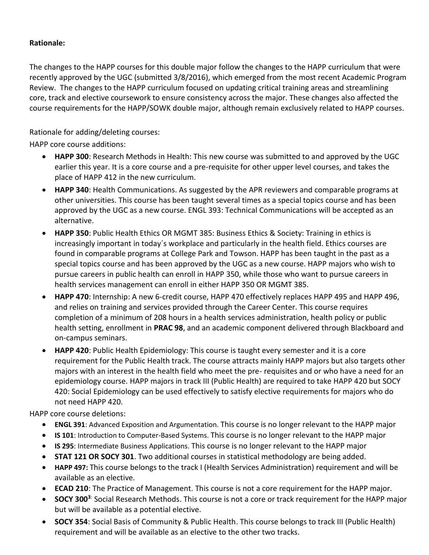## **Rationale:**

The changes to the HAPP courses for this double major follow the changes to the HAPP curriculum that were recently approved by the UGC (submitted 3/8/2016), which emerged from the most recent Academic Program Review. The changes to the HAPP curriculum focused on updating critical training areas and streamlining core, track and elective coursework to ensure consistency across the major. These changes also affected the course requirements for the HAPP/SOWK double major, although remain exclusively related to HAPP courses.

Rationale for adding/deleting courses:

HAPP core course additions:

- **HAPP 300**: Research Methods in Health: This new course was submitted to and approved by the UGC earlier this year. It is a core course and a pre-requisite for other upper level courses, and takes the place of HAPP 412 in the new curriculum.
- **HAPP 340**: Health Communications. As suggested by the APR reviewers and comparable programs at other universities. This course has been taught several times as a special topics course and has been approved by the UGC as a new course. ENGL 393: Technical Communications will be accepted as an alternative.
- **HAPP 350**: Public Health Ethics OR MGMT 385: Business Ethics & Society: Training in ethics is increasingly important in today´s workplace and particularly in the health field. Ethics courses are found in comparable programs at College Park and Towson. HAPP has been taught in the past as a special topics course and has been approved by the UGC as a new course. HAPP majors who wish to pursue careers in public health can enroll in HAPP 350, while those who want to pursue careers in health services management can enroll in either HAPP 350 OR MGMT 385.
- **HAPP 470**: Internship: A new 6-credit course, HAPP 470 effectively replaces HAPP 495 and HAPP 496, and relies on training and services provided through the Career Center. This course requires completion of a minimum of 208 hours in a health services administration, health policy or public health setting, enrollment in **PRAC 98**, and an academic component delivered through Blackboard and on-campus seminars.
- **HAPP 420**: Public Health Epidemiology: This course is taught every semester and it is a core requirement for the Public Health track. The course attracts mainly HAPP majors but also targets other majors with an interest in the health field who meet the pre- requisites and or who have a need for an epidemiology course. HAPP majors in track III (Public Health) are required to take HAPP 420 but SOCY 420: Social Epidemiology can be used effectively to satisfy elective requirements for majors who do not need HAPP 420.

HAPP core course deletions:

- **ENGL 391**: Advanced Exposition and Argumentation. This course is no longer relevant to the HAPP major
- **IS 101**: Introduction to Computer-Based Systems. This course is no longer relevant to the HAPP major
- **IS 295**: Intermediate Business Applications. This course is no longer relevant to the HAPP major
- **STAT 121 OR SOCY 301**. Two additional courses in statistical methodology are being added.
- **HAPP 497:** This course belongs to the track I (Health Services Administration) requirement and will be available as an elective.
- **ECAD 210**: The Practice of Management. This course is not a core requirement for the HAPP major.
- **SOCY 300<sup>3</sup>**: Social Research Methods. This course is not a core or track requirement for the HAPP major but will be available as a potential elective.
- **SOCY 354**: Social Basis of Community & Public Health. This course belongs to track III (Public Health) requirement and will be available as an elective to the other two tracks.